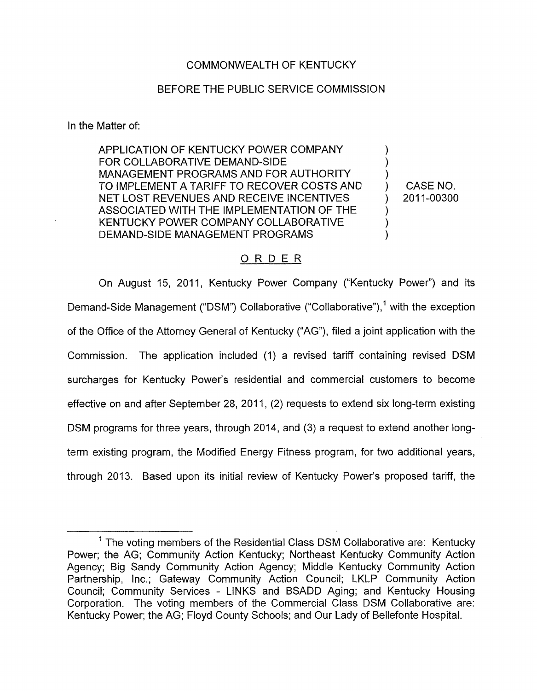## COMMONWEALTH OF KENTUCKY

## BEFORE THE PUBLIC SERVICE COMMISSION

In the Matter of:

\_I

APPLICATION OF KENTUCKY POWER COMPANY FOR COLLABORATIVE DEMAND-SIDE MANAGEMENT PROGRAMS AND FOR AUTHORITY TO IMPLEMENT A TARIFF TO RECOVER COSTS AND NET LOST REVENUES AND RECEIVE INCENTIVES (2011-00300) ASSOCIATED WITH THE IMPLEMENTATION OF THE KENTUCKY POWER COMPANY COLLABORATIVE DEMAND-SIDE MANAGEMENT PROGRAMS 1

) CASE NO.

# ORDER

On August 15, 2011, Kentucky Power Company ("Kentucky Power") and its Demand-Side Management ("DSM") Collaborative ("Collaborative"),<sup>1</sup> with the exception of the Office of the Attorney General of Kentucky ("AG"), filed a joint application with the Commission. The application included (I) a revised tariff containing revised DSM surcharges for Kentucky Power's residential and commercial customers to become effective on and after September 28, 2011, (2) requests to extend six long-term existing DSM programs for three years, through 2014, and (3) a request to extend another longterm existing program, the Modified Energy Fitness program, for two additional years, through 2013. Based upon its initial review of Kentucky Power's proposed tariff, the

 $1$  The voting members of the Residential Class DSM Collaborative are: Kentucky Power; the AG; Community Action Kentucky; Northeast Kentucky Community Action Agency; Big Sandy Community Action Agency; Middle Kentucky Community Action Partnership, Inc.; Gateway Community Action Council; LKLP Community Action Council; Community Services - LINKS and BSADD Aging; and Kentucky Housing Corporation. The voting members of the Commercial Class DSM Collaborative are: Kentucky Power; the AG; Floyd County Schools; and Our Lady of Bellefonte Hospital.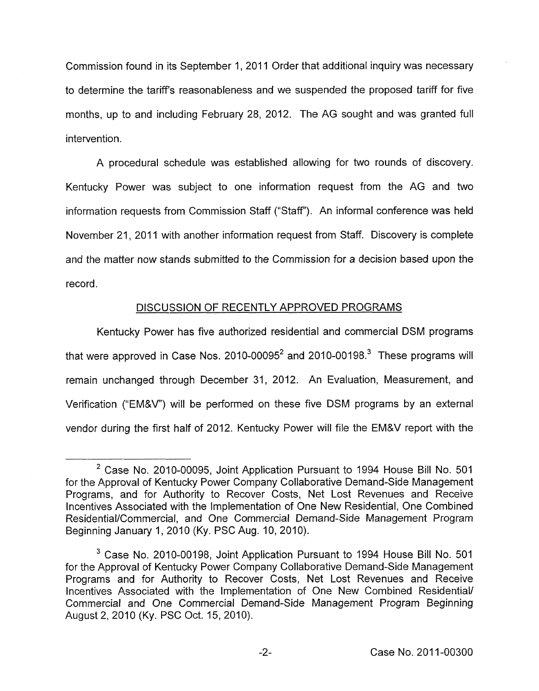Commission found in its September 1, 2011 Order that additional inquiry was necessary to determine the tariff's reasonableness and we suspended the proposed tariff for five months, up to and including February 28, 2012. The AG sought and was granted full intervention.

A procedural schedule was established allowing for two rounds of discovery. Kentucky Power was subject to one information request from the AG and two information requests from Commission Staff ("Staff"). An informal conference was held November 21, 2011 with another information request from Staff. Discovery is complete and the matter now stands submitted to the Commission for a decision based upon the record.

# DISCUSSION OF RECENTLY APPROVED PROGRAMS

Kentucky Power has five authorized residential and commercial DSM programs that were approved in Case Nos. 2010-00095 $^2$  and 2010-00198. $^3$  These programs will remain unchanged through December 31, 2012. An Evaluation, Measurement, and Verification ("EM&V") will be performed on these five DSM programs by an external vendor during the first half of 2012. Kentucky Power will file the EM&V report with the

 $2$  Case No. 2010-00095, Joint Application Pursuant to 1994 House Bill No. 501 for the Approval of Kentucky Power Company Collaborative Demand-Side Management Programs, and for Authority to Recover Costs, Net Lost Revenues and Receive Incentives Associated with the Implementation of One New Residential, One Combined Residential/Commercial, and One Commercial Demand-Side Management Program Beginning January 1,2010 (Ky. PSCAug. 10,2010).

 $3$  Case No. 2010-00198, Joint Application Pursuant to 1994 House Bill No. 501 for the Approval of Kentucky Power Company Collaborative Demand-Side Management Programs and for Authority to Recover Costs, Net Lost Revenues and Receive Incentives Associated with the Implementation of One New Combined Residential/ Commercial and One Commercial Demand-Side Management Program Beginning August 2, 2010 (Ky. PSC Oct. 15, 2010).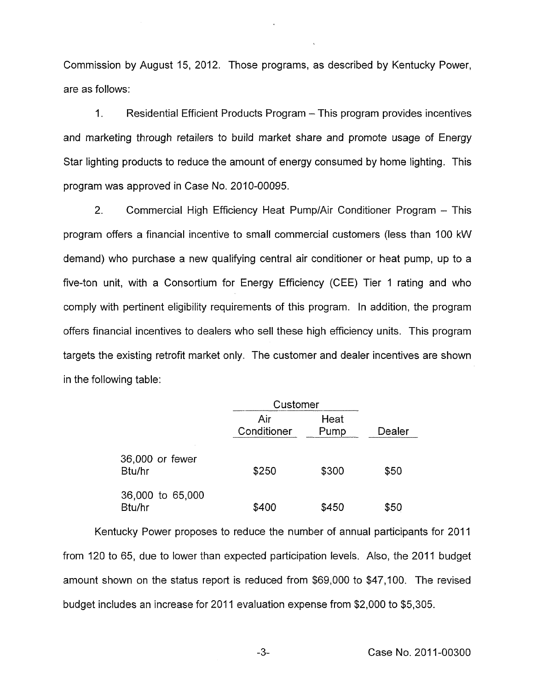Commission by August 15, 2012. Those programs, as described by Kentucky Power, are as follows:

1. Residential Efficient Products Program - This program provides incentives and marketing through retailers to build market share and promote usage of Energy Star lighting products to reduce the amount of energy consumed by home lighting. This program was approved in Case No. 2010-00095.

2. Commercial High Efficiency Heat Pump/Air Conditioner Program - This program offers a financial incentive to small commercial customers (less than 100 kW demand) who purchase a new qualifying central air conditioner or heat pump, up to a five-ton unit, with a Consortium for Energy Efficiency (CEE) Tier 1 rating and who comply with pertinent eligibility requirements of this program. In addition, the program offers financial incentives to dealers who sell these high efficiency units. This program targets the existing retrofit market only. The customer and dealer incentives are shown in the following table:

|                            | Customer           |              |        |
|----------------------------|--------------------|--------------|--------|
|                            | Air<br>Conditioner | Heat<br>Pump | Dealer |
| 36,000 or fewer<br>Btu/hr  | \$250              | \$300        | \$50   |
| 36,000 to 65,000<br>Btu/hr | \$400              | \$450        | \$50   |

Kentucky Power proposes to reduce the number of annual participants for 2011 from 120 to 65, due to lower than expected participation levels. Also, the 2011 budget amount shown on the status report is reduced from \$69,000 to \$47,100. The revised budget includes an increase for 2011 evaluation expense from \$2,000 to \$5,305.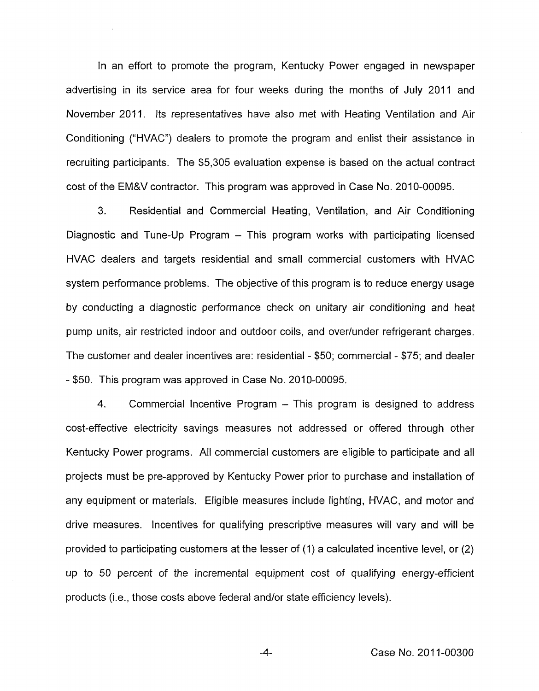In an effort to promote the program, Kentucky Power engaged in newspaper advertising in its service area for four weeks during the months of July 2011 and November 2011. Its representatives have also met with Heating Ventilation and Air Conditioning ("HVAC") dealers to promote the program and enlist their assistance in recruiting participants. The \$5,305 evaluation expense is based on the actual contract cost of the EM&V contractor. This program was approved in Case No. 2010-00095.

*3.* Residential and Commercial Heating, Ventilation, and Air Conditioning Diagnostic and Tune-Up Program  $-$  This program works with participating licensed HVAC dealers and targets residential and small commercial customers with HVAC system performance problems. The objective of this program is to reduce energy usage by conducting a diagnostic performance check on unitary air conditioning and heat pump units, air restricted indoor and outdoor coils, and over/under refrigerant charges. The customer and dealer incentives are: residential - \$50; commercial - \$75; and dealer - \$50. This program was approved in Case No. 2010-00095.

**4.** Commercial Incentive Program - This program is designed to address cost-effective electricity savings measures not addressed or offered through other Kentucky Power programs. All commercial customers are eligible to participate and all projects must be pre-approved by Kentucky Power prior to purchase and installation of any equipment or materials. Eligible measures include lighting, HVAC, and motor and drive measures. Incentives for qualifying prescriptive measures will vary and will be provided to participating customers at the lesser of (1) a calculated incentive level, or (2) up to 50 percent of the incremental equipment cost of qualifying energy-efficient products (Le., those costs above federal and/or state efficiency levels).

**-4-** Case **No.** 201 1-00300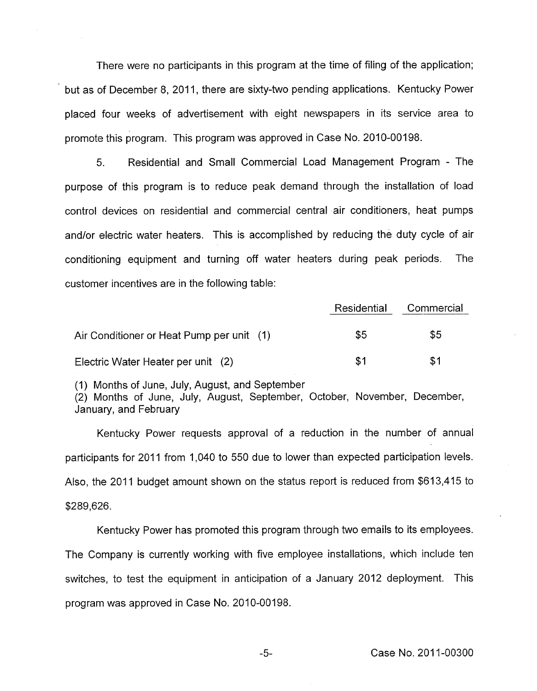There were no participants in this program at the time of filing of the application; but as of December 8, 2011, there are sixty-two pending applications. Kentucky Power placed four weeks of advertisement with eight newspapers in its service area to promote this program. This program was approved in Case No. 2010-00198.

*5.* Residential and Small Commercial Load Management Program - The purpose of this program is to reduce peak demand through the installation of load control devices on residential and commercial central air conditioners, heat pumps and/or electric water heaters. This is accomplished by reducing the duty cycle of air conditioning equipment and turning off water heaters during peak periods. The customer incentives are in the following table:

|                                           | Residential | Commercial |
|-------------------------------------------|-------------|------------|
| Air Conditioner or Heat Pump per unit (1) | \$5         | \$5        |
| Electric Water Heater per unit (2)        | -S1         | \$1        |

(1) Months of June, July, August, and September

(2) Months of June, July, August, September, October, November, December, January, and February

Kentucky Power requests approval of a reduction in the number of annual participants for 2011 from 1,040 to 550 due to lower than expected participation levels. Also, the 2011 budget amount shown on the status report is reduced from \$613,415 to \$289,626.

Kentucky Power has promoted this program through two emails to its employees. The Company is currently working with five employee installations, which include ten switches, to test the equipment in anticipation of a January 2012 deployment. This program was approved in Case No. 2010-00198.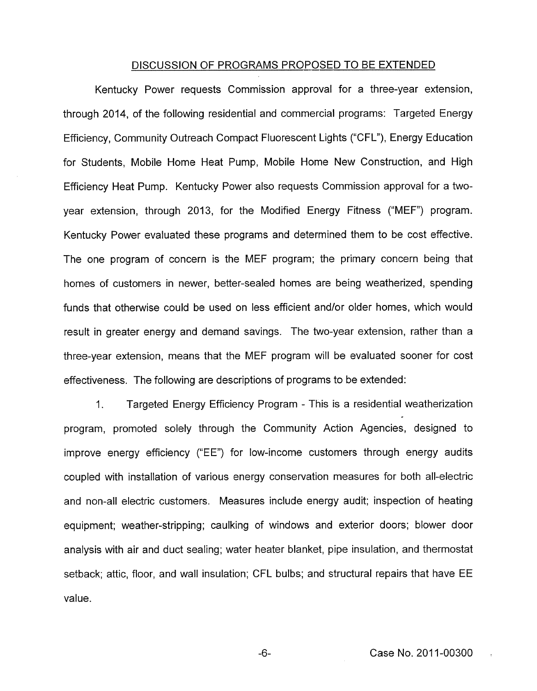#### DISCUSSION OF PROGRAMS PROPOSED TO BE EXTENDED

Kentucky Power requests Commission approval for a three-year extension, through 2014, of the following residential and commercial programs: Targeted Energy Efficiency, Community Outreach Compact Fluorescent Lights ("CFL"), Energy Education for Students, Mobile Home Heat Pump, Mobile Home New Construction, and High Efficiency Heat Pump. Kentucky Power also requests Commission approval for a twoyear extension, through 2013, for the Modified Energy Fitness ("MEF") program. Kentucky Power evaluated these programs and determined them to be cost effective. The one program of concern is the MEF program; the primary concern being that homes of customers in newer, better-sealed homes are being weatherized, spending funds that otherwise could be used on less efficient and/or older homes, which would result in greater energy and demand savings. The two-year extension, rather than a three-year extension, means that the MEF program will be evaluated sooner for cost effectiveness. The following are descriptions of programs to be extended

1. Targeted Energy Efficiency Program - This is a residential weatherization program, promoted solely through the Community Action Agencies, designed to improve energy efficiency ("EE") for low-income customers through energy audits coupled with installation of various energy conservation measures for both all-electric and non-all electric customers. Measures include energy audit; inspection of heating equipment; weather-stripping; caulking of windows and exterior doors; blower door analysis with air and duct sealing; water heater blanket, pipe insulation, and thermostat setback; attic, floor, and wall insulation; CFL bulbs; and structural repairs that have EE value.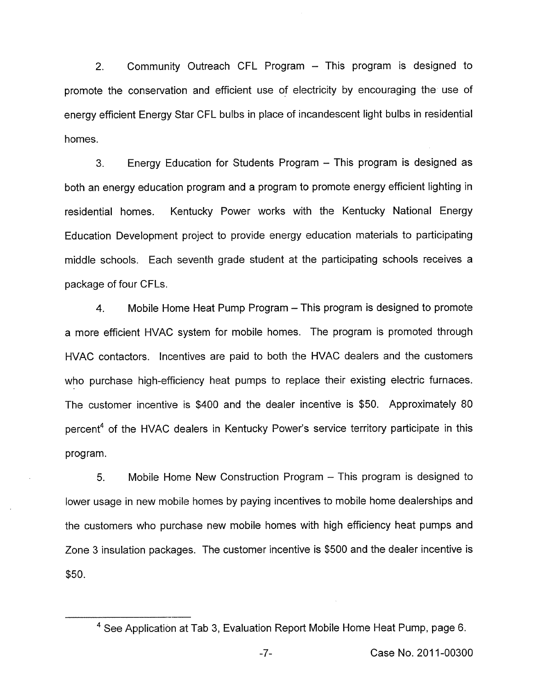2. Community Outreach CFL Program – This program is designed to promote the conservation and efficient use of electricity by encouraging the use of energy efficient Energy Star CFL bulbs in place of incandescent light bulbs in residential homes.

**3.** Energy Education for Students Program - This program is designed as both an energy education program and a program to promote energy efficient lighting in residential homes. Kentucky Power works with the Kentucky National Energy Education Development project to provide energy education materials to participating middle schools. Each seventh grade student at the participating schools receives a package of four CFLs.

**4.** Mobile Home Heat Pump Program - This program is designed to promote a more efficient HVAC system for mobile homes. The program is promoted through HVAC contactors. Incentives are paid to both the HVAC dealers and the customers who purchase high-efficiency heat pumps to replace their existing electric furnaces. The customer incentive is \$400 and the dealer incentive is \$50. Approximately 80 percent<sup>4</sup> of the HVAC dealers in Kentucky Power's service territory participate in this program.

5. Mobile Home New Construction Program - This program is designed to lower usage in new mobile homes by paying incentives to mobile home dealerships and the customers who purchase new mobile homes with high efficiency heat pumps and Zone 3 insulation packages. The customer incentive is \$500 and the dealer incentive is \$50.

<sup>&</sup>lt;sup>4</sup> See Application at Tab 3, Evaluation Report Mobile Home Heat Pump, page 6.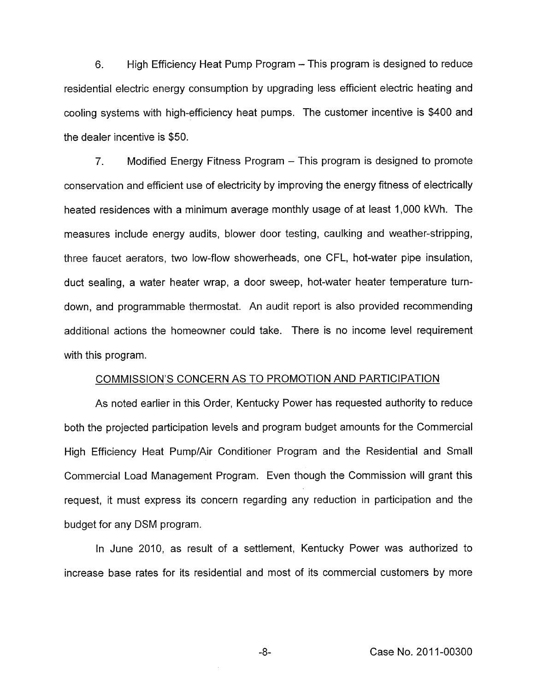6. High Efficiency Heat Pump Program - This program is designed to reduce residential electric energy consumption by upgrading less efficient electric heating and cooling systems with high-efficiency heat pumps. The customer incentive is \$400 and the dealer incentive is \$50.

7. Modified Energy Fitness Program - This program is designed to promote conservation and efficient use of electricity by improving the energy fitness of electrically heated residences with a minimum average monthly usage of at least 1,000 kWh. The measures include energy audits, blower door testing, caulking and weather-stripping, three faucet aerators, two low-flow showerheads, one CFL, hot-water pipe insulation, duct sealing, a water heater wrap, a door sweep, hot-water heater temperature turndown, and programmable thermostat. An audit report is also provided recommending additional actions the homeowner could take. There is no income level requirement with this program.

#### COMMISSION'S CONCERN AS TO PROMOTION AND PARTICIPATION

As noted earlier in this Order, Kentucky Power has requested authority to reduce both the projected participation levels and program budget amounts for the Commercial High Efficiency Heat Pump/Air Conditioner Program and the Residential and Small Commercial Load Management Program. Even though the Commission will grant this request, it must express its concern regarding any reduction in participation and the budget for any DSM program.

In June 2010, as result of a settlement, Kentucky Power was authorized to increase base rates for its residential and most of its commercial customers by more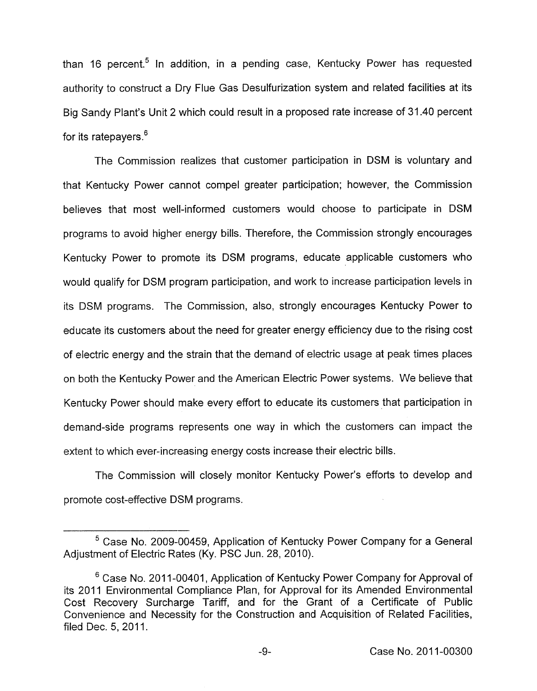than 16 percent.<sup>5</sup> In addition, in a pending case, Kentucky Power has requested authority to construct a Dry Flue Gas Desulfurization system and related facilities at its Big Sandy Plant's Unit 2 which could result in a proposed rate increase of 31.40 percent for its ratepayers.<sup>6</sup>

The Commission realizes that customer participation in DSM is voluntary and that Kentucky Power cannot compel greater participation; however, the Commission believes that most well-informed customers would choose to participate in DSM programs to avoid higher energy bills. Therefore, the Commission strongly encourages Kentucky Power to promote its DSM programs, educate applicable customers who would qualify for DSM program participation, and work to increase participation levels in its DSM programs. The Commission, also, strongly encourages Kentucky Power to educate its customers about the need for greater energy efficiency due to the rising cost of electric energy and the strain that the demand of electric usage at peak times places on both the Kentucky Power and the American Electric Power systems. We believe that Kentucky Power should make every effort to educate its customers that participation in demand-side programs represents one way in which the customers can impact the extent to which ever-increasing energy costs increase their electric bills.

The Commission will closely monitor Kentucky Power's efforts to develop and promote cost-effective DSM programs.

Case No. 2009-00459, Application of Kentucky Power Company for a General Adjustment of Electric Rates (Ky. PSC Jun. 28, 2010).

<sup>&</sup>lt;sup>6</sup> Case No. 2011-00401, Application of Kentucky Power Company for Approval of its 2011 Environmental Compliance Plan, for Approval for its Amended Environmental Cost Recovery Surcharge Tariff, and for the Grant of a Certificate of Public Convenience and Necessity for the Construction and Acquisition of Related Facilities, filed Dec. 5, 2011.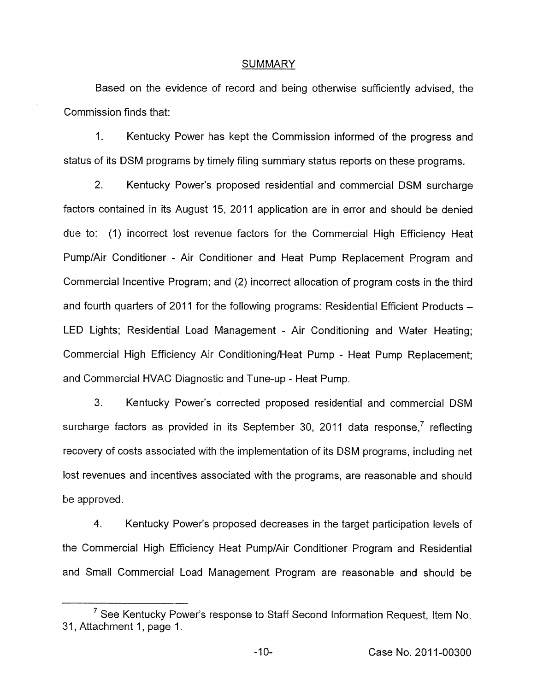## **SUMMARY**

Based on the evidence of record and being otherwise sufficiently advised, the Commission finds that:

1. Kentucky Power has kept the Commission informed of the progress and status of its DSM programs by timely filing summary status reports on these programs.

2. Kentucky Power's proposed residential and commercial DSM surcharge factors contained in its August 15, 2011 application are in error and should be denied due to: (1) incorrect lost revenue factors for the Commercial High Efficiency Heat Pump/Air Conditioner - Air Conditioner and Heat Pump Replacement Program and Commercial Incentive Program; and (2) incorrect allocation of program costs in the third and fourth quarters of 2011 for the following programs: Residential Efficient Products -LED Lights; Residential Load Management - Air Conditioning and Water Heating; Commercial High Efficiency Air Conditioning/Heat Pump - Heat Pump Replacement; and Commercial HVAC Diagnostic and Tune-up - Heat Pump.

3. Kentucky Power's corrected proposed residential and commercial DSM surcharge factors as provided in its September 30, 2011 data response, $7$  reflecting recovery of costs associated with the implementation of its DSM programs, including net lost revenues and incentives associated with the programs, are reasonable and should be approved.

**4.** Kentucky Power's proposed decreases in the target participation levels of the Commercial High Efficiency Heat Pump/Air Conditioner Program and Residential and Small Commercial Load Management Program are reasonable and should be

 $<sup>7</sup>$  See Kentucky Power's response to Staff Second Information Request, Item No.</sup> 31, Attachment 1, page 1.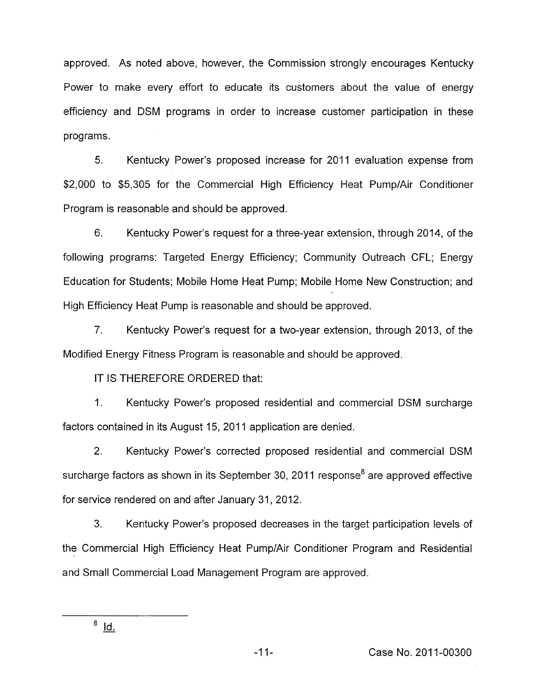approved. As noted above, however, the Commission strongly encourages Kentucky Power to make every effort to educate its customers about the value of energy efficiency and DSM programs in order to increase customer participation in these programs.

5. Kentucky Power's proposed increase for 2011 evaluation expense from \$2,000 to \$5,305 for the Commercial High Efficiency Heat Pump/Air Conditioner Program is reasonable and should be approved.

6. Kentucky Power's request for a three-year extension, through 2014, of the following programs: Targeted Energy Efficiency; Community Outreach CFL; Energy Education for Students; Mobile Home Heat Pump; Mobile Home New Construction; and High Efficiency Heat Pump is reasonable and should be approved.

*7.* Kentucky Power's request for a two-year extension, through 2013, of the Modified Energy Fitness Program is reasonable and should be approved.

IT IS THEREFORE ORDERED that:

1. Kentucky Power's proposed residential and commercial DSM surcharge factors contained in its August 15, 2011 application are denied.

2. Kentucky Power's corrected proposed residential and commercial DSM surcharge factors as shown in its September 30, 2011 response $<sup>8</sup>$  are approved effective</sup> for service rendered on and after January 31,2012.

3. Kentucky Power's proposed decreases in the target participation levels of the Commercial High Efficiency Heat Pump/Air Conditioner Program and Residential and Small Commercial Load Management Program are approved.

 $8 \underline{\mathsf{Id}}$ .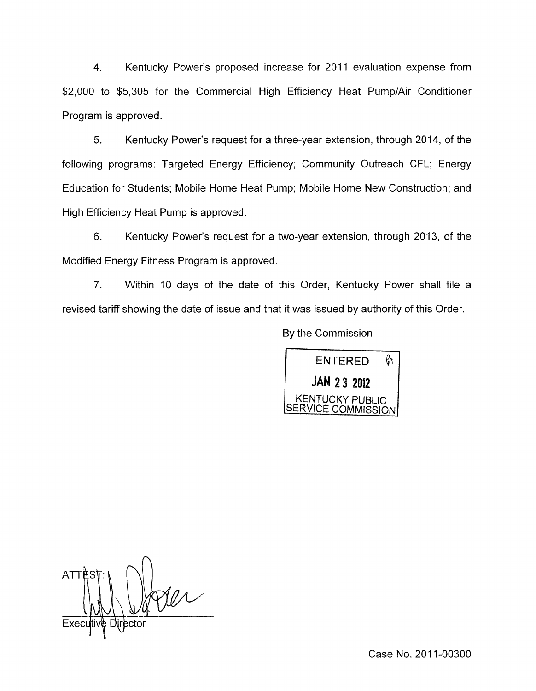4. Kentucky Power's proposed increase for 2011 evaluation expense from \$2,000 to \$5,305 for the Commercial High Efficiency Heat Pump/Air Conditioner Program is approved.

5. Kentucky Power's request for a three-year extension, through 2014, of the following programs: Targeted Energy Efficiency; Community Outreach CFL; Energy Education for Students; Mobile Home Heat Pump; Mobile Home New Construction; and High Efficiency Heat Pump is approved.

6. Kentucky Power's request for a two-year extension, through 2013, of the Modified Energy Fitness Program is approved.

*7.* Within 10 days of the date of this Order, Kentucky Power shall file a revised tariff showing the date of issue and that it was issued by authority of this Order.

By the Commission



**ATTES** 

Case No. 2011-00300